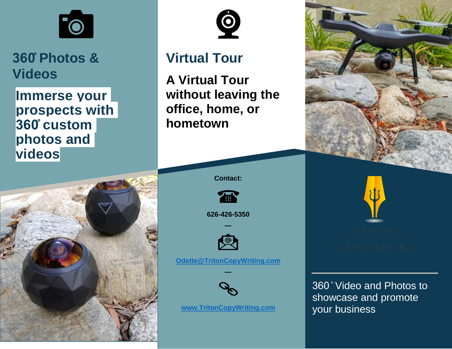

**360̊Photos & Videos**

**Immerse your prospects with 360̊custom photos and videos**





## **Virtual Tour**

**A Virtual Tour without leaving the office, home, or hometown**





**626-426-5350**

**—**



**Odette@TritonCopyWriting.com**

**—** 



**www.TritonCopyWriting.com**



360 ̊Video and Photos to showcase and promote your business